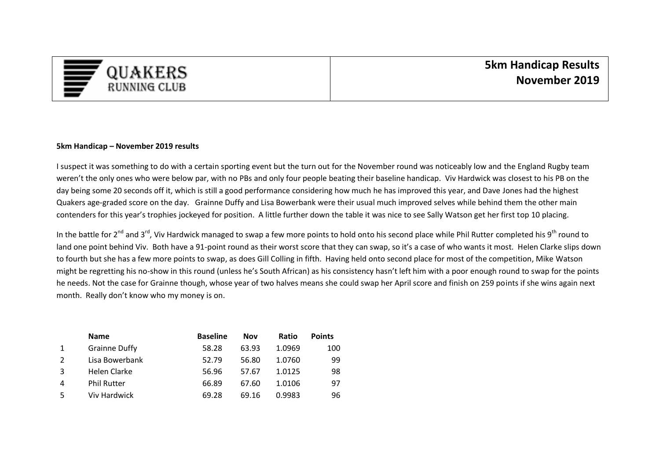

## **5km Handicap – November 2019 results**

I suspect it was something to do with a certain sporting event but the turn out for the November round was noticeably low and the England Rugby team weren't the only ones who were below par, with no PBs and only four people beating their baseline handicap. Viv Hardwick was closest to his PB on the day being some 20 seconds off it, which is still a good performance considering how much he has improved this year, and Dave Jones had the highest Quakers age-graded score on the day. Grainne Duffy and Lisa Bowerbank were their usual much improved selves while behind them the other main contenders for this year's trophies jockeyed for position. A little further down the table it was nice to see Sally Watson get her first top 10 placing.

In the battle for 2<sup>nd</sup> and 3<sup>rd</sup>, Viv Hardwick managed to swap a few more points to hold onto his second place while Phil Rutter completed his 9<sup>th</sup> round to land one point behind Viv. Both have a 91-point round as their worst score that they can swap, so it's a case of who wants it most. Helen Clarke slips down to fourth but she has a few more points to swap, as does Gill Colling in fifth. Having held onto second place for most of the competition, Mike Watson might be regretting his no-show in this round (unless he's South African) as his consistency hasn't left him with a poor enough round to swap for the points he needs. Not the case for Grainne though, whose year of two halves means she could swap her April score and finish on 259 points if she wins again next month. Really don't know who my money is on.

|   | <b>Name</b>          | <b>Baseline</b> | Nov   | Ratio  | <b>Points</b> |
|---|----------------------|-----------------|-------|--------|---------------|
|   | <b>Grainne Duffy</b> | 58.28           | 63.93 | 1.0969 | 100           |
|   | Lisa Bowerbank       | 52.79           | 56.80 | 1.0760 | 99            |
| 3 | Helen Clarke         | 56.96           | 57.67 | 1.0125 | 98            |
| 4 | <b>Phil Rutter</b>   | 66.89           | 67.60 | 1.0106 | 97            |
| 5 | Viv Hardwick         | 69.28           | 69.16 | 0.9983 | 96            |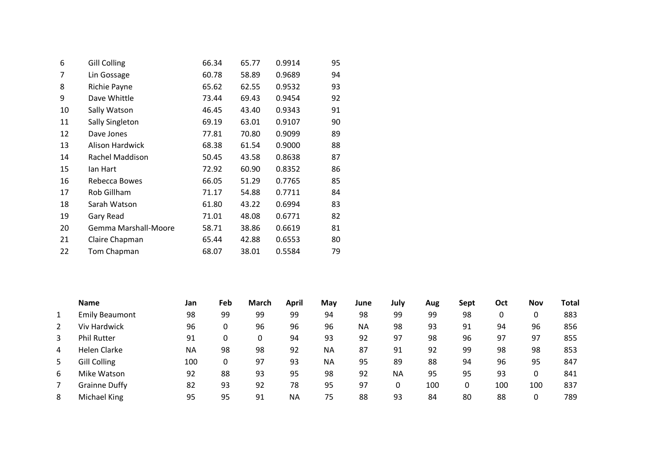| 6  | <b>Gill Colling</b>  | 66.34 | 65.77 | 0.9914 | 95 |
|----|----------------------|-------|-------|--------|----|
| 7  | Lin Gossage          | 60.78 | 58.89 | 0.9689 | 94 |
| 8  | Richie Payne         | 65.62 | 62.55 | 0.9532 | 93 |
| 9  | Dave Whittle         | 73.44 | 69.43 | 0.9454 | 92 |
| 10 | Sally Watson         | 46.45 | 43.40 | 0.9343 | 91 |
| 11 | Sally Singleton      | 69.19 | 63.01 | 0.9107 | 90 |
| 12 | Dave Jones           | 77.81 | 70.80 | 0.9099 | 89 |
| 13 | Alison Hardwick      | 68.38 | 61.54 | 0.9000 | 88 |
| 14 | Rachel Maddison      | 50.45 | 43.58 | 0.8638 | 87 |
| 15 | lan Hart             | 72.92 | 60.90 | 0.8352 | 86 |
| 16 | Rebecca Bowes        | 66.05 | 51.29 | 0.7765 | 85 |
| 17 | Rob Gillham          | 71.17 | 54.88 | 0.7711 | 84 |
| 18 | Sarah Watson         | 61.80 | 43.22 | 0.6994 | 83 |
| 19 | Gary Read            | 71.01 | 48.08 | 0.6771 | 82 |
| 20 | Gemma Marshall-Moore | 58.71 | 38.86 | 0.6619 | 81 |
| 21 | Claire Chapman       | 65.44 | 42.88 | 0.6553 | 80 |
| 22 | Tom Chapman          | 68.07 | 38.01 | 0.5584 | 79 |

|                | <b>Name</b>           | Jan | Feb | March | April     | May       | June      | July      | Aug | Sept | Oct | Nov | <b>Total</b> |
|----------------|-----------------------|-----|-----|-------|-----------|-----------|-----------|-----------|-----|------|-----|-----|--------------|
|                | <b>Emily Beaumont</b> | 98  | 99  | 99    | 99        | 94        | 98        | 99        | 99  | 98   |     | 0   | 883          |
| $\overline{2}$ | Viv Hardwick          | 96  | 0   | 96    | 96        | 96        | <b>NA</b> | 98        | 93  | 91   | 94  | 96  | 856          |
| 3              | <b>Phil Rutter</b>    | 91  | 0   |       | 94        | 93        | 92        | 97        | 98  | 96   | 97  | 97  | 855          |
| 4              | Helen Clarke          | NA  | 98  | 98    | 92        | <b>NA</b> | 87        | 91        | 92  | 99   | 98  | 98  | 853          |
| 5              | <b>Gill Colling</b>   | 100 | 0   | 97    | 93        | <b>NA</b> | 95        | 89        | 88  | 94   | 96  | 95  | 847          |
| 6              | Mike Watson           | 92  | 88  | 93    | 95        | 98        | 92        | <b>NA</b> | 95  | 95   | 93  | 0   | 841          |
|                | <b>Grainne Duffy</b>  | 82  | 93  | 92    | 78        | 95        | 97        | 0         | 100 | 0    | 100 | 100 | 837          |
| 8              | Michael King          | 95  | 95  | 91    | <b>NA</b> | 75        | 88        | 93        | 84  | 80   | 88  | 0   | 789          |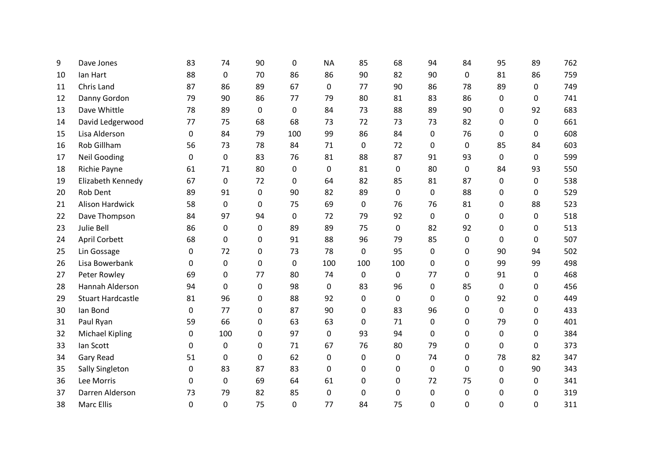| 9  | Dave Jones               | 83       | 74        | 90           | 0   | <b>NA</b>   | 85  | 68           | 94       | 84          | 95          | 89          | 762 |
|----|--------------------------|----------|-----------|--------------|-----|-------------|-----|--------------|----------|-------------|-------------|-------------|-----|
| 10 | lan Hart                 | 88       | 0         | 70           | 86  | 86          | 90  | 82           | 90       | 0           | 81          | 86          | 759 |
| 11 | Chris Land               | 87       | 86        | 89           | 67  | $\mathbf 0$ | 77  | 90           | 86       | 78          | 89          | 0           | 749 |
| 12 | Danny Gordon             | 79       | 90        | 86           | 77  | 79          | 80  | 81           | 83       | 86          | 0           | 0           | 741 |
| 13 | Dave Whittle             | 78       | 89        | $\mathbf{0}$ | 0   | 84          | 73  | 88           | 89       | 90          | 0           | 92          | 683 |
| 14 | David Ledgerwood         | 77       | 75        | 68           | 68  | 73          | 72  | 73           | 73       | 82          | $\Omega$    | 0           | 661 |
| 15 | Lisa Alderson            | 0        | 84        | 79           | 100 | 99          | 86  | 84           | 0        | 76          | 0           | 0           | 608 |
| 16 | <b>Rob Gillham</b>       | 56       | 73        | 78           | 84  | 71          | 0   | 72           | 0        | 0           | 85          | 84          | 603 |
| 17 | <b>Neil Gooding</b>      | 0        | $\pmb{0}$ | 83           | 76  | 81          | 88  | 87           | 91       | 93          | 0           | $\mathbf 0$ | 599 |
| 18 | Richie Payne             | 61       | 71        | 80           | 0   | 0           | 81  | 0            | 80       | 0           | 84          | 93          | 550 |
| 19 | Elizabeth Kennedy        | 67       | 0         | 72           | 0   | 64          | 82  | 85           | 81       | 87          | $\mathbf 0$ | $\mathbf 0$ | 538 |
| 20 | Rob Dent                 | 89       | 91        | $\mathbf{0}$ | 90  | 82          | 89  | $\mathbf 0$  | 0        | 88          | 0           | 0           | 529 |
| 21 | <b>Alison Hardwick</b>   | 58       | 0         | $\mathbf 0$  | 75  | 69          | 0   | 76           | 76       | 81          | 0           | 88          | 523 |
| 22 | Dave Thompson            | 84       | 97        | 94           | 0   | 72          | 79  | 92           | 0        | 0           | 0           | 0           | 518 |
| 23 | Julie Bell               | 86       | 0         | 0            | 89  | 89          | 75  | 0            | 82       | 92          | 0           | 0           | 513 |
| 24 | <b>April Corbett</b>     | 68       | 0         | 0            | 91  | 88          | 96  | 79           | 85       | 0           | $\Omega$    | 0           | 507 |
| 25 | Lin Gossage              | 0        | 72        | $\mathbf 0$  | 73  | 78          | 0   | 95           | 0        | 0           | 90          | 94          | 502 |
| 26 | Lisa Bowerbank           | 0        | 0         | $\mathbf 0$  | 0   | 100         | 100 | 100          | 0        | 0           | 99          | 99          | 498 |
| 27 | Peter Rowley             | 69       | 0         | 77           | 80  | 74          | 0   | 0            | 77       | 0           | 91          | 0           | 468 |
| 28 | Hannah Alderson          | 94       | 0         | 0            | 98  | 0           | 83  | 96           | 0        | 85          | 0           | 0           | 456 |
| 29 | <b>Stuart Hardcastle</b> | 81       | 96        | $\mathbf 0$  | 88  | 92          | 0   | $\mathbf 0$  | $\Omega$ | 0           | 92          | 0           | 449 |
| 30 | lan Bond                 | $\Omega$ | 77        | $\mathbf 0$  | 87  | 90          | 0   | 83           | 96       | 0           | $\mathbf 0$ | 0           | 433 |
| 31 | Paul Ryan                | 59       | 66        | $\mathbf 0$  | 63  | 63          | 0   | 71           | 0        | 0           | 79          | 0           | 401 |
| 32 | <b>Michael Kipling</b>   | 0        | 100       | 0            | 97  | $\mathbf 0$ | 93  | 94           | $\Omega$ | $\mathbf 0$ | 0           | 0           | 384 |
| 33 | lan Scott                | 0        | 0         | $\mathbf 0$  | 71  | 67          | 76  | 80           | 79       | 0           | $\Omega$    | 0           | 373 |
| 34 | Gary Read                | 51       | 0         | $\mathbf 0$  | 62  | $\mathbf 0$ | 0   | $\mathbf 0$  | 74       | 0           | 78          | 82          | 347 |
| 35 | Sally Singleton          | 0        | 83        | 87           | 83  | $\mathbf 0$ | 0   | 0            | 0        | 0           | 0           | 90          | 343 |
| 36 | Lee Morris               | 0        | 0         | 69           | 64  | 61          | 0   | $\mathbf 0$  | 72       | 75          | 0           | $\mathbf 0$ | 341 |
| 37 | Darren Alderson          | 73       | 79        | 82           | 85  | $\Omega$    | 0   | $\mathbf{0}$ | 0        | 0           | 0           | 0           | 319 |
| 38 | <b>Marc Ellis</b>        | 0        | 0         | 75           | 0   | 77          | 84  | 75           | 0        | $\mathbf 0$ | 0           | 0           | 311 |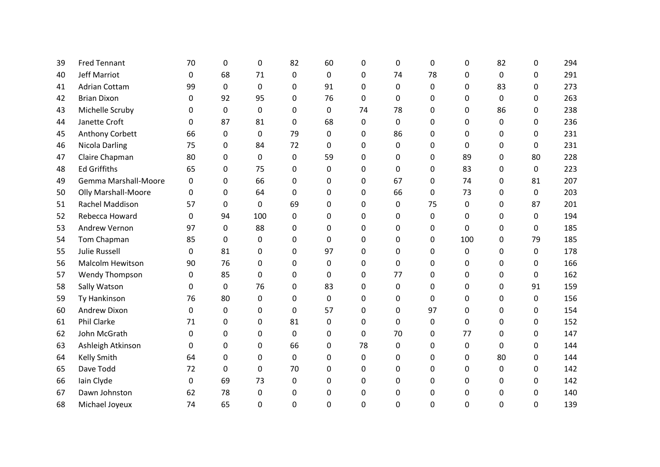| 39 | <b>Fred Tennant</b>        | 70          | 0           | 0            | 82 | 60          | 0  | $\mathbf 0$  | 0        | 0        | 82       | 0  | 294 |
|----|----------------------------|-------------|-------------|--------------|----|-------------|----|--------------|----------|----------|----------|----|-----|
| 40 | <b>Jeff Marriot</b>        | 0           | 68          | 71           | 0  | 0           | 0  | 74           | 78       | $\Omega$ | $\Omega$ | 0  | 291 |
| 41 | <b>Adrian Cottam</b>       | 99          | 0           | $\mathbf{0}$ | 0  | 91          | 0  | $\mathbf 0$  | 0        | 0        | 83       | 0  | 273 |
| 42 | <b>Brian Dixon</b>         | 0           | 92          | 95           | 0  | 76          | 0  | 0            | 0        | $\Omega$ | $\Omega$ | 0  | 263 |
| 43 | Michelle Scruby            | 0           | $\mathbf 0$ | 0            | 0  | $\mathbf 0$ | 74 | 78           | 0        | 0        | 86       | 0  | 238 |
| 44 | Janette Croft              | 0           | 87          | 81           | 0  | 68          | 0  | $\Omega$     | 0        | 0        | 0        | 0  | 236 |
| 45 | Anthony Corbett            | 66          | 0           | 0            | 79 | 0           | 0  | 86           | 0        | 0        | 0        | 0  | 231 |
| 46 | Nicola Darling             | 75          | 0           | 84           | 72 | $\Omega$    | 0  | $\Omega$     | 0        | $\Omega$ | 0        | 0  | 231 |
| 47 | Claire Chapman             | 80          | 0           | $\mathbf{0}$ | 0  | 59          | 0  | $\Omega$     | 0        | 89       | 0        | 80 | 228 |
| 48 | <b>Ed Griffiths</b>        | 65          | 0           | 75           | 0  | 0           | 0  | $\Omega$     | 0        | 83       | 0        | 0  | 223 |
| 49 | Gemma Marshall-Moore       | 0           | 0           | 66           | 0  | 0           | 0  | 67           | 0        | 74       | 0        | 81 | 207 |
| 50 | <b>Olly Marshall-Moore</b> | $\Omega$    | 0           | 64           | 0  | 0           | 0  | 66           | 0        | 73       | 0        | 0  | 203 |
| 51 | Rachel Maddison            | 57          | 0           | 0            | 69 | 0           | 0  | 0            | 75       | 0        | 0        | 87 | 201 |
| 52 | Rebecca Howard             | 0           | 94          | 100          | 0  | 0           | 0  | 0            | 0        | 0        | 0        | 0  | 194 |
| 53 | Andrew Vernon              | 97          | 0           | 88           | 0  | 0           | 0  | 0            | 0        | 0        | 0        | 0  | 185 |
| 54 | Tom Chapman                | 85          | 0           | 0            | 0  | $\Omega$    | 0  | $\Omega$     | 0        | 100      | 0        | 79 | 185 |
| 55 | <b>Julie Russell</b>       | 0           | 81          | 0            | 0  | 97          | 0  | $\mathbf{0}$ | 0        | 0        | 0        | 0  | 178 |
| 56 | <b>Malcolm Hewitson</b>    | 90          | 76          | $\Omega$     | 0  | 0           | 0  | $\mathbf{0}$ | 0        | 0        | 0        | 0  | 166 |
| 57 | Wendy Thompson             | 0           | 85          | 0            | 0  | 0           | 0  | 77           | 0        | 0        | 0        | 0  | 162 |
| 58 | Sally Watson               | 0           | 0           | 76           | 0  | 83          | 0  | 0            | 0        | 0        | 0        | 91 | 159 |
| 59 | Ty Hankinson               | 76          | 80          | 0            | 0  | 0           | 0  | 0            | 0        | 0        | 0        | 0  | 156 |
| 60 | Andrew Dixon               | 0           | 0           | 0            | 0  | 57          | 0  | 0            | 97       | 0        | 0        | 0  | 154 |
| 61 | Phil Clarke                | 71          | 0           | $\Omega$     | 81 | $\Omega$    | 0  | $\Omega$     | 0        | $\Omega$ | 0        | 0  | 152 |
| 62 | John McGrath               | 0           | 0           | 0            | 0  | $\mathbf 0$ | 0  | 70           | $\Omega$ | 77       | 0        | 0  | 147 |
| 63 | Ashleigh Atkinson          | $\Omega$    | 0           | $\mathbf 0$  | 66 | $\Omega$    | 78 | $\Omega$     | 0        | $\Omega$ | $\Omega$ | 0  | 144 |
| 64 | Kelly Smith                | 64          | 0           | $\mathbf 0$  | 0  | $\mathbf 0$ | 0  | $\mathbf{0}$ | 0        | 0        | 80       | 0  | 144 |
| 65 | Dave Todd                  | 72          | 0           | $\mathbf 0$  | 70 | 0           | 0  | $\mathbf{0}$ | 0        | $\Omega$ | $\Omega$ | 0  | 142 |
| 66 | Iain Clyde                 | $\mathbf 0$ | 69          | 73           | 0  | $\mathbf 0$ | 0  | 0            | 0        | 0        | 0        | 0  | 142 |
| 67 | Dawn Johnston              | 62          | 78          | $\Omega$     | 0  | $\Omega$    | 0  | 0            | 0        | 0        | 0        | 0  | 140 |
| 68 | Michael Joyeux             | 74          | 65          | $\mathbf 0$  | 0  | 0           | 0  | $\Omega$     | 0        | 0        | 0        | 0  | 139 |